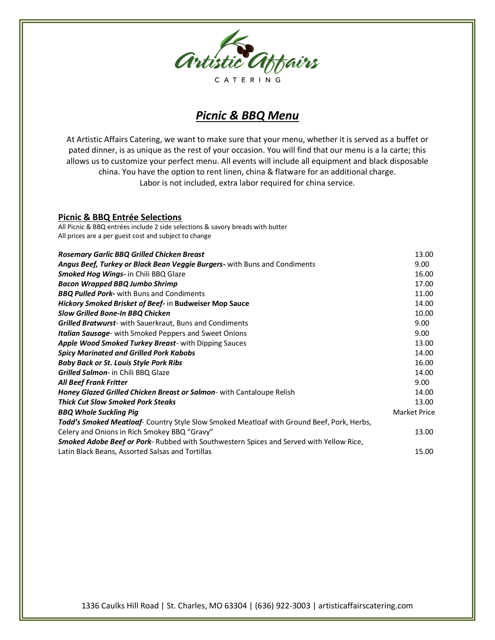

# *Picnic & BBQ Menu*

At Artistic Affairs Catering, we want to make sure that your menu, whether it is served as a buffet or pated dinner, is as unique as the rest of your occasion. You will find that our menu is a la carte; this allows us to customize your perfect menu. All events will include all equipment and black disposable china. You have the option to rent linen, china & flatware for an additional charge. Labor is not included, extra labor required for china service.

## **Picnic & BBQ Entrée Selections**

All Picnic & BBQ entrées include 2 side selections & savory breads with butter All prices are a per guest cost and subject to change

| <b>Rosemary Garlic BBQ Grilled Chicken Breast</b>                                              | 13.00        |
|------------------------------------------------------------------------------------------------|--------------|
| Angus Beef, Turkey or Black Bean Veggie Burgers- with Buns and Condiments                      | 9.00         |
| <b>Smoked Hog Wings- in Chili BBQ Glaze</b>                                                    | 16.00        |
| <b>Bacon Wrapped BBQ Jumbo Shrimp</b>                                                          | 17.00        |
| <b>BBQ Pulled Pork-</b> with Buns and Condiments                                               | 11.00        |
| Hickory Smoked Brisket of Beef- in Budweiser Mop Sauce                                         | 14.00        |
| <b>Slow Grilled Bone-In BBQ Chicken</b>                                                        | 10.00        |
| <b>Grilled Bratwurst-</b> with Sauerkraut, Buns and Condiments                                 | 9.00         |
| <b>Italian Sausage</b> - with Smoked Peppers and Sweet Onions                                  | 9.00         |
| <b>Apple Wood Smoked Turkey Breast-</b> with Dipping Sauces                                    | 13.00        |
| <b>Spicy Marinated and Grilled Pork Kabobs</b>                                                 | 14.00        |
| <b>Baby Back or St. Louis Style Pork Ribs</b>                                                  | 16.00        |
| Grilled Salmon- in Chili BBQ Glaze                                                             | 14.00        |
| <b>All Beef Frank Fritter</b>                                                                  | 9.00         |
| Honey Glazed Grilled Chicken Breast or Salmon- with Cantaloupe Relish                          | 14.00        |
| <b>Thick Cut Slow Smoked Pork Steaks</b>                                                       | 13.00        |
| <b>BBQ Whole Suckling Pig</b>                                                                  | Market Price |
| Todd's Smoked Meatloaf- Country Style Slow Smoked Meatloaf with Ground Beef, Pork, Herbs,      |              |
| Celery and Onions in Rich Smokey BBQ "Gravy"                                                   | 13.00        |
| <b>Smoked Adobe Beef or Pork-</b> Rubbed with Southwestern Spices and Served with Yellow Rice, |              |
| Latin Black Beans, Assorted Salsas and Tortillas                                               | 15.00        |

1336 Caulks Hill Road | St. Charles, MO 63304 | (636) 922-3003 | artisticaffairscatering.com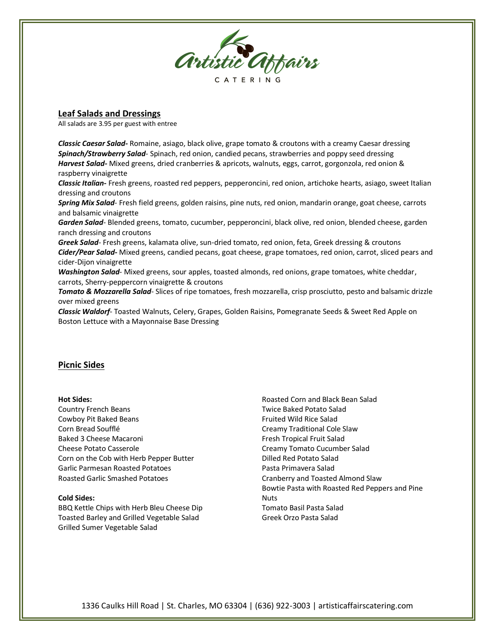

## **Leaf Salads and Dressings**

All salads are 3.95 per guest with entree

*Classic Caesar Salad-* Romaine, asiago, black olive, grape tomato & croutons with a creamy Caesar dressing *Spinach/Strawberry Salad*- Spinach, red onion, candied pecans, strawberries and poppy seed dressing *Harvest Salad-* Mixed greens, dried cranberries & apricots, walnuts, eggs, carrot, gorgonzola, red onion & raspberry vinaigrette

*Classic Italian-* Fresh greens, roasted red peppers, pepperoncini, red onion, artichoke hearts, asiago, sweet Italian dressing and croutons

*Spring Mix Salad*- Fresh field greens, golden raisins, pine nuts, red onion, mandarin orange, goat cheese, carrots and balsamic vinaigrette

*Garden Salad*- Blended greens, tomato, cucumber, pepperoncini, black olive, red onion, blended cheese, garden ranch dressing and croutons

*Greek Salad*- Fresh greens, kalamata olive, sun-dried tomato, red onion, feta, Greek dressing & croutons *Cider/Pear Salad-* Mixed greens, candied pecans, goat cheese, grape tomatoes, red onion, carrot, sliced pears and cider-Dijon vinaigrette

*Washington Salad*- Mixed greens, sour apples, toasted almonds, red onions, grape tomatoes, white cheddar, carrots, Sherry-peppercorn vinaigrette & croutons

*Tomato & Mozzarella Salad*- Slices of ripe tomatoes, fresh mozzarella, crisp prosciutto, pesto and balsamic drizzle over mixed greens

*Classic Waldorf*- Toasted Walnuts, Celery, Grapes, Golden Raisins, Pomegranate Seeds & Sweet Red Apple on Boston Lettuce with a Mayonnaise Base Dressing

## **Picnic Sides**

#### **Hot Sides:**

Country French Beans Cowboy Pit Baked Beans Corn Bread Soufflé Baked 3 Cheese Macaroni Cheese Potato Casserole Corn on the Cob with Herb Pepper Butter Garlic Parmesan Roasted Potatoes Roasted Garlic Smashed Potatoes

#### **Cold Sides:**

BBQ Kettle Chips with Herb Bleu Cheese Dip Toasted Barley and Grilled Vegetable Salad Grilled Sumer Vegetable Salad

Roasted Corn and Black Bean Salad Twice Baked Potato Salad Fruited Wild Rice Salad Creamy Traditional Cole Slaw Fresh Tropical Fruit Salad Creamy Tomato Cucumber Salad Dilled Red Potato Salad Pasta Primavera Salad Cranberry and Toasted Almond Slaw Bowtie Pasta with Roasted Red Peppers and Pine **Nuts** Tomato Basil Pasta Salad Greek Orzo Pasta Salad

1336 Caulks Hill Road | St. Charles, MO 63304 | (636) 922-3003 | artisticaffairscatering.com